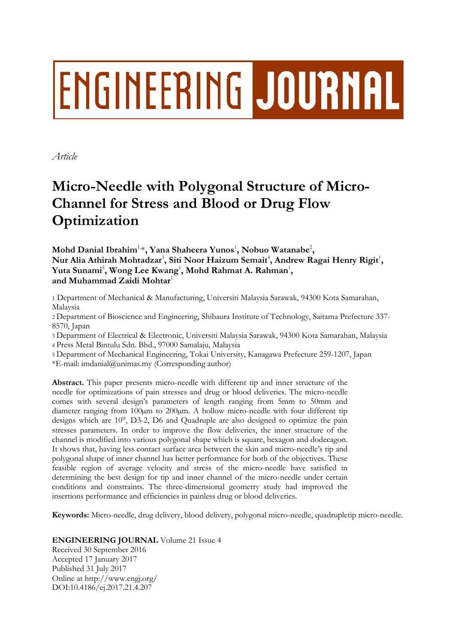## **ENGINEERING JOURNAL**

*Article*

## **Micro-Needle with Polygonal Structure of Micro-Channel for Stress and Blood or Drug Flow Optimization**

**Mohd Danial Ibrahim**1,\***, Yana Shaheera Yunos**<sup>1</sup> **, Nobuo Watanabe**<sup>2</sup> **,**  $N$ ur Alia Athirah Mohtadzar $^3$ , Siti Noor Haizum Semait $^4$ , Andrew Ragai Henry Rigit $^1$ , **Yuta Sunami**<sup>5</sup> **, Wong Lee Kwang**<sup>1</sup> **, Mohd Rahmat A. Rahman**<sup>1</sup> **, and Muhammad Zaidi Mohtar**<sup>1</sup>

1 Department of Mechanical & Manufacturing, Universiti Malaysia Sarawak, 94300 Kota Samarahan, Malaysia

2 Department of Bioscience and Engineering, Shibaura Institute of Technology, Saitama Prefecture 337- 8570, Japan

3 Department of Electrical & Electronic, Universiti Malaysia Sarawak, 94300 Kota Samarahan, Malaysia 4 Press Metal Bintulu Sdn. Bhd., 97000 Samalaju, Malaysia

5 Department of Mechanical Engineering, Tokai University, Kanagawa Prefecture 259-1207, Japan \*E-mail: imdanial@unimas.my (Corresponding author)

**Abstract.** This paper presents micro-needle with different tip and inner structure of the needle for optimizations of pain stresses and drug or blood deliveries. The micro-needle comes with several design's parameters of length ranging from 5mm to 50mm and diameter ranging from  $100\mu$ m to  $200\mu$ m. A hollow micro-needle with four different tip designs which are 10°, D3-2, D6 and Quadruple are also designed to optimize the pain stresses parameters. In order to improve the flow deliveries, the inner structure of the channel is modified into various polygonal shape which is square, hexagon and dodecagon. It shows that, having less contact surface area between the skin and micro-needle's tip and polygonal shape of inner channel has better performance for both of the objectives. These feasible region of average velocity and stress of the micro-needle have satisfied in determining the best design for tip and inner channel of the micro-needle under certain conditions and constraints. The three-dimensional geometry study had improved the insertions performance and efficiencies in painless drug or blood deliveries.

**Keywords:** Micro-needle, drug delivery, blood delivery, polygonal micro-needle, quadrupletip micro-needle.

**ENGINEERING JOURNAL** Volume 21 Issue 4

Received 30 September 2016 Accepted 17 January 2017 Published 31 July 2017 Online at http://www.engj.org/ DOI:10.4186/ej.2017.21.4.207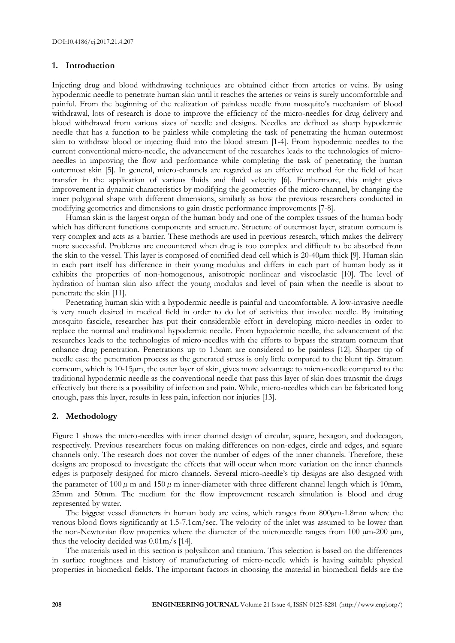### **1. Introduction**

Injecting drug and blood withdrawing techniques are obtained either from arteries or veins. By using hypodermic needle to penetrate human skin until it reaches the arteries or veins is surely uncomfortable and painful. From the beginning of the realization of painless needle from mosquito's mechanism of blood withdrawal, lots of research is done to improve the efficiency of the micro-needles for drug delivery and blood withdrawal from various sizes of needle and designs. Needles are defined as sharp hypodermic needle that has a function to be painless while completing the task of penetrating the human outermost skin to withdraw blood or injecting fluid into the blood stream [1-4]. From hypodermic needles to the current conventional micro-needle, the advancement of the researches leads to the technologies of microneedles in improving the flow and performance while completing the task of penetrating the human outermost skin [5]. In general, micro-channels are regarded as an effective method for the field of heat transfer in the application of various fluids and fluid velocity [6]. Furthermore, this might gives improvement in dynamic characteristics by modifying the geometries of the micro-channel, by changing the inner polygonal shape with different dimensions, similarly as how the previous researchers conducted in modifying geometries and dimensions to gain drastic performance improvements [7-8].

Human skin is the largest organ of the human body and one of the complex tissues of the human body which has different functions components and structure. Structure of outermost layer, stratum corneum is very complex and acts as a barrier. These methods are used in previous research, which makes the delivery more successful. Problems are encountered when drug is too complex and difficult to be absorbed from the skin to the vessel. This layer is composed of cornified dead cell which is 20-40µm thick [9]. Human skin in each part itself has difference in their young modulus and differs in each part of human body as it exhibits the properties of non-homogenous, anisotropic nonlinear and viscoelastic [10]. The level of hydration of human skin also affect the young modulus and level of pain when the needle is about to penetrate the skin [11].

Penetrating human skin with a hypodermic needle is painful and uncomfortable. A low-invasive needle is very much desired in medical field in order to do lot of activities that involve needle. By imitating mosquito fascicle, researcher has put their considerable effort in developing micro-needles in order to replace the normal and traditional hypodermic needle. From hypodermic needle, the advancement of the researches leads to the technologies of micro-needles with the efforts to bypass the stratum corneum that enhance drug penetration. Penetrations up to 1.5mm are considered to be painless [12]. Sharper tip of needle ease the penetration process as the generated stress is only little compared to the blunt tip. Stratum corneum, which is 10-15µm, the outer layer of skin, gives more advantage to micro-needle compared to the traditional hypodermic needle as the conventional needle that pass this layer of skin does transmit the drugs effectively but there is a possibility of infection and pain. While, micro-needles which can be fabricated long enough, pass this layer, results in less pain, infection nor injuries [13].

## **2. Methodology**

Figure 1 shows the micro-needles with inner channel design of circular, square, hexagon, and dodecagon, respectively. Previous researchers focus on making differences on non-edges, circle and edges, and square channels only. The research does not cover the number of edges of the inner channels. Therefore, these designs are proposed to investigate the effects that will occur when more variation on the inner channels edges is purposely designed for micro channels. Several micro-needle's tip designs are also designed with the parameter of 100  $\mu$  m and 150  $\mu$  m inner-diameter with three different channel length which is 10mm, 25mm and 50mm. The medium for the flow improvement research simulation is blood and drug represented by water.

The biggest vessel diameters in human body are veins, which ranges from 800 $\mu$ m-1.8mm where the venous blood flows significantly at 1.5-7.1cm/sec. The velocity of the inlet was assumed to be lower than the non-Newtonian flow properties where the diameter of the microneedle ranges from 100  $\mu$ m-200  $\mu$ m, thus the velocity decided was 0.01m/s [14].

The materials used in this section is polysilicon and titanium. This selection is based on the differences in surface roughness and history of manufacturing of micro-needle which is having suitable physical properties in biomedical fields. The important factors in choosing the material in biomedical fields are the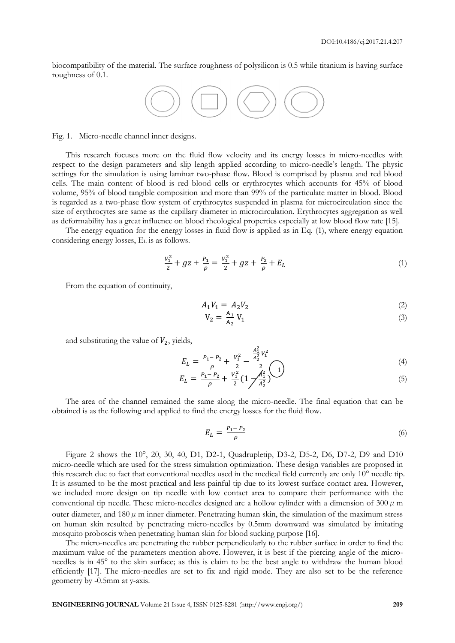biocompatibility of the material. The surface roughness of polysilicon is 0.5 while titanium is having surface roughness of 0.1.



Fig. 1. Micro-needle channel inner designs.

This research focuses more on the fluid flow velocity and its energy losses in micro-needles with respect to the design parameters and slip length applied according to micro-needle's length. The physic settings for the simulation is using laminar two-phase flow. Blood is comprised by plasma and red blood cells. The main content of blood is red blood cells or erythrocytes which accounts for 45% of blood volume, 95% of blood tangible composition and more than 99% of the particulate matter in blood. Blood is regarded as a two-phase flow system of erythrocytes suspended in plasma for microcirculation since the size of erythrocytes are same as the capillary diameter in microcirculation. Erythrocytes aggregation as well as deformability has a great influence on blood rheological properties especially at low blood flow rate [15].

The energy equation for the energy losses in fluid flow is applied as in Eq. (1), where energy equation considering energy losses, E<sup>L</sup> is as follows.

$$
\frac{V_1^2}{2} + gz + \frac{P_1}{\rho} = \frac{V_1^2}{2} + gz + \frac{P_2}{\rho} + E_L
$$
 (1)

From the equation of continuity,

$$
A_1 V_1 = A_2 V_2 \tag{2}
$$

$$
V_2 = \frac{A_1}{A_2} V_1 \tag{3}
$$

and substituting the value of  $V_2$ , yields,

$$
E_L = \frac{P_1 - P_2}{\rho} + \frac{V_1^2}{2} - \frac{\frac{A_1^2}{A_2^2} V_1^2}{2} \tag{4}
$$

$$
E_L = \frac{P_1 - P_2}{\rho} + \frac{V_1^2}{2} \left( 1 - \frac{A_1^2}{A_2^2} \right)^{1}
$$
 (5)

The area of the channel remained the same along the micro-needle. The final equation that can be obtained is as the following and applied to find the energy losses for the fluid flow.

$$
E_L = \frac{P_1 - P_2}{\rho} \tag{6}
$$

Figure 2 shows the 10°, 20, 30, 40, D1, D2-1, Quadrupletip, D3-2, D5-2, D6, D7-2, D9 and D10 micro-needle which are used for the stress simulation optimization. These design variables are proposed in this research due to fact that conventional needles used in the medical field currently are only 10° needle tip. It is assumed to be the most practical and less painful tip due to its lowest surface contact area. However, we included more design on tip needle with low contact area to compare their performance with the conventional tip needle. These micro-needles designed are a hollow cylinder with a dimension of 300  $\mu$  m outer diameter, and  $180 \mu$  m inner diameter. Penetrating human skin, the simulation of the maximum stress on human skin resulted by penetrating micro-needles by 0.5mm downward was simulated by imitating mosquito proboscis when penetrating human skin for blood sucking purpose [16].

The micro-needles are penetrating the rubber perpendicularly to the rubber surface in order to find the maximum value of the parameters mention above. However, it is best if the piercing angle of the microneedles is in 45° to the skin surface; as this is claim to be the best angle to withdraw the human blood efficiently [17]. The micro-needles are set to fix and rigid mode. They are also set to be the reference geometry by -0.5mm at y-axis.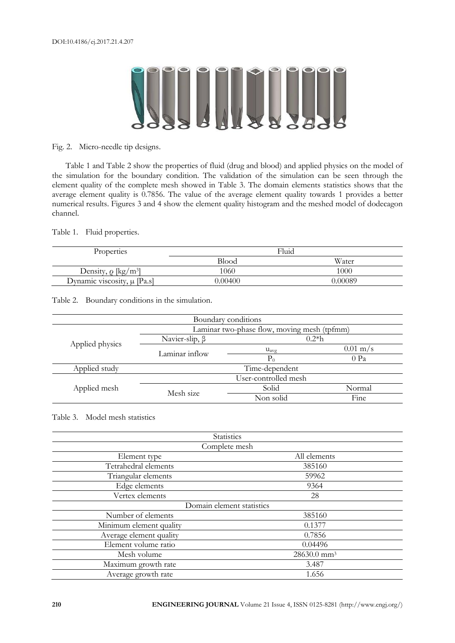# **ANTILLE**

Fig. 2. Micro-needle tip designs.

Table 1 and Table 2 show the properties of fluid (drug and blood) and applied physics on the model of the simulation for the boundary condition. The validation of the simulation can be seen through the element quality of the complete mesh showed in Table 3. The domain elements statistics shows that the average element quality is 0.7856. The value of the average element quality towards 1 provides a better numerical results. Figures 3 and 4 show the element quality histogram and the meshed model of dodecagon channel.

Table 1. Fluid properties.

| Properties                           | Fluid        |         |  |
|--------------------------------------|--------------|---------|--|
|                                      | <b>Blood</b> | Water   |  |
| Density, $\rho$ [kg/m <sup>3</sup> ] | 1060         | 1000    |  |
| Dynamic viscosity, $\mu$ [Pa.s]      | 0.00400      | N 00089 |  |

Table 2. Boundary conditions in the simulation.

| Boundary conditions |                                             |                  |                    |  |  |
|---------------------|---------------------------------------------|------------------|--------------------|--|--|
|                     | Laminar two-phase flow, moving mesh (tpfmm) |                  |                    |  |  |
|                     | Navier-slip, $\beta$                        | $0.2*h$          |                    |  |  |
| Applied physics     | Laminar inflow                              | $u_{\text{avg}}$ | $0.01 \text{ m/s}$ |  |  |
|                     |                                             | $P_0$            | $0$ Pa             |  |  |
| Applied study       | Time-dependent                              |                  |                    |  |  |
| Applied mesh        | User-controlled mesh                        |                  |                    |  |  |
|                     | Mesh size                                   | Solid            | Normal             |  |  |
|                     |                                             | Non solid        | Fine               |  |  |

Table 3. Model mesh statistics

| Statistics                |                         |  |
|---------------------------|-------------------------|--|
| Complete mesh             |                         |  |
| Element type              | All elements            |  |
| Tetrahedral elements      | 385160                  |  |
| Triangular elements       | 59962                   |  |
| Edge elements             | 9364                    |  |
| Vertex elements           | 28                      |  |
| Domain element statistics |                         |  |
| Number of elements        | 385160                  |  |
| Minimum element quality   | 0.1377                  |  |
| Average element quality   | 0.7856                  |  |
| Element volume ratio      | 0.04496                 |  |
| Mesh volume               | 28630.0 mm <sup>3</sup> |  |
| Maximum growth rate       | 3.487                   |  |
| Average growth rate       | 1.656                   |  |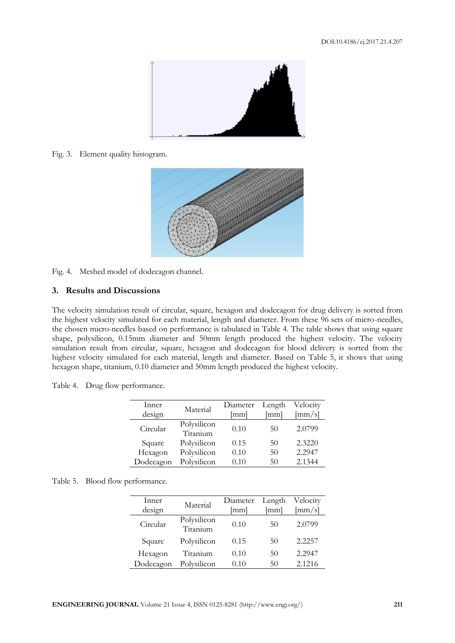

Fig. 3. Element quality histogram.



Fig. 4. Meshed model of dodecagon channel.

## **3. Results and Discussions**

The velocity simulation result of circular, square, hexagon and dodecagon for drug delivery is sorted from the highest velocity simulated for each material, length and diameter. From these 96 sets of micro-needles, the chosen micro-needles based on performance is tabulated in Table 4. The table shows that using square shape, polysilicon, 0.15mm diameter and 50mm length produced the highest velocity. The velocity simulation result from circular, square, hexagon and dodecagon for blood delivery is sorted from the highest velocity simulated for each material, length and diameter. Based on Table 5, it shows that using hexagon shape, titanium, 0.10 diameter and 50mm length produced the highest velocity.

Table 4. Drug flow performance.

| Inner<br>design | Material                | Diameter<br>mml] | Length<br>[mm] | Velocity<br>$\left[\text{mm/s}\right]$ |
|-----------------|-------------------------|------------------|----------------|----------------------------------------|
| Circular        | Polysilicon<br>Titanium | 0.10             | 50             | 2.0799                                 |
| Square          | Polysilicon             | 0.15             | 50             | 2.3220                                 |
| Hexagon         | Polysilicon             | 0.10             | 50             | 2.2947                                 |
| Dodecagon       | Polysilicon             | 0.10             | 50             | 2.1344                                 |

| Table 5.<br>Blood flow performance. |  |
|-------------------------------------|--|
|-------------------------------------|--|

| Inner<br>design | Material                | Diameter<br>mml] | Length<br>lmml | Velocity<br>$\left[\text{mm/s}\right]$ |
|-----------------|-------------------------|------------------|----------------|----------------------------------------|
| Circular        | Polysilicon<br>Titanium | 0.10             | 50             | 2.0799                                 |
| Square          | Polysilicon             | 0.15             | 50             | 2.2257                                 |
| Hexagon         | Titanium                | 0.10             | 50             | 2.2947                                 |
| Dodecagon       | Polysilicon             | 0.10             | 50             | 2.1216                                 |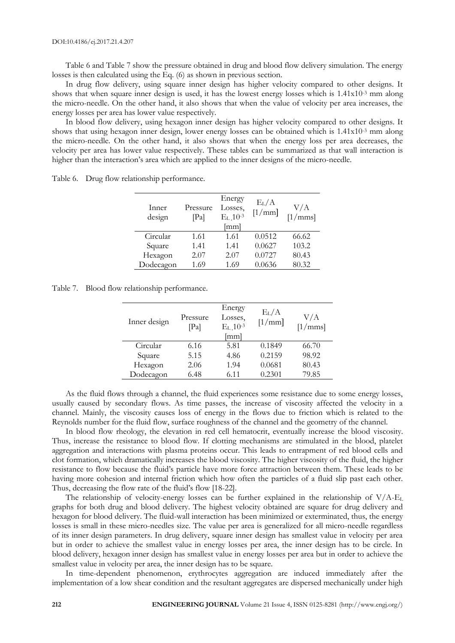Table 6 and Table 7 show the pressure obtained in drug and blood flow delivery simulation. The energy losses is then calculated using the Eq. (6) as shown in previous section.

In drug flow delivery, using square inner design has higher velocity compared to other designs. It shows that when square inner design is used, it has the lowest energy losses which is  $1.41x10^{-3}$  mm along the micro-needle. On the other hand, it also shows that when the value of velocity per area increases, the energy losses per area has lower value respectively.

In blood flow delivery, using hexagon inner design has higher velocity compared to other designs. It shows that using hexagon inner design, lower energy losses can be obtained which is 1.41x10-3 mm along the micro-needle. On the other hand, it also shows that when the energy loss per area decreases, the velocity per area has lower value respectively. These tables can be summarized as that wall interaction is higher than the interaction's area which are applied to the inner designs of the micro-needle.

| Inner<br>design | Pressure<br>[Pa] | Energy<br>Losses.<br>$E_{L}$ , 10-3<br>[mm] | $E_{L}/A$<br>[1/mm] | V/A<br>[1/mms] |
|-----------------|------------------|---------------------------------------------|---------------------|----------------|
| Circular        | 1.61             | 1.61                                        | 0.0512              | 66.62          |
| Square          | 1.41             | 1.41                                        | 0.0627              | 103.2          |
| Hexagon         | 2.07             | 2.07                                        | 0.0727              | 80.43          |
| Dodecagon       | 1.69             | 1.69                                        | 0.0636              | 80.32          |

Table 6. Drug flow relationship performance.

Table 7. Blood flow relationship performance.

| Inner design | Pressure<br>[Pa] | Energy<br>Losses,<br>$E_{L}$ , 10-3<br>[mm] | $E_{L}/A$<br>[1/mm] | V/A<br>[1/mms] |
|--------------|------------------|---------------------------------------------|---------------------|----------------|
| Circular     | 6.16             | 5.81                                        | 0.1849              | 66.70          |
| Square       | 5.15             | 4.86                                        | 0.2159              | 98.92          |
| Hexagon      | 2.06             | 1.94                                        | 0.0681              | 80.43          |
| Dodecagon    | 6.48             | 6.11                                        | 0.2301              | 79.85          |

As the fluid flows through a channel, the fluid experiences some resistance due to some energy losses, usually caused by secondary flows. As time passes, the increase of viscosity affected the velocity in a channel. Mainly, the viscosity causes loss of energy in the flows due to friction which is related to the Reynolds number for the fluid flow, surface roughness of the channel and the geometry of the channel.

In blood flow rheology, the elevation in red cell hematocrit, eventually increase the blood viscosity. Thus, increase the resistance to blood flow. If clotting mechanisms are stimulated in the blood, platelet aggregation and interactions with plasma proteins occur. This leads to entrapment of red blood cells and clot formation, which dramatically increases the blood viscosity. The higher viscosity of the fluid, the higher resistance to flow because the fluid's particle have more force attraction between them. These leads to be having more cohesion and internal friction which how often the particles of a fluid slip past each other. Thus, decreasing the flow rate of the fluid's flow [18-22].

The relationship of velocity-energy losses can be further explained in the relationship of V/A-E<sup>L</sup> graphs for both drug and blood delivery. The highest velocity obtained are square for drug delivery and hexagon for blood delivery. The fluid-wall interaction has been minimized or exterminated, thus, the energy losses is small in these micro-needles size. The value per area is generalized for all micro-needle regardless of its inner design parameters. In drug delivery, square inner design has smallest value in velocity per area but in order to achieve the smallest value in energy losses per area, the inner design has to be circle. In blood delivery, hexagon inner design has smallest value in energy losses per area but in order to achieve the smallest value in velocity per area, the inner design has to be square.

In time-dependent phenomenon, erythrocytes aggregation are induced immediately after the implementation of a low shear condition and the resultant aggregates are dispersed mechanically under high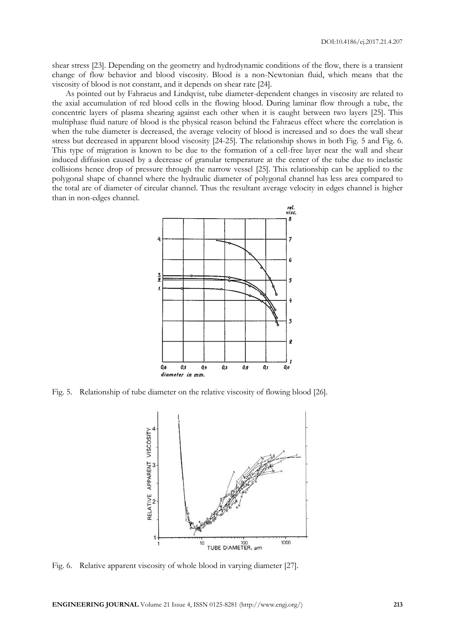shear stress [23]. Depending on the geometry and hydrodynamic conditions of the flow, there is a transient change of flow behavior and blood viscosity. Blood is a non-Newtonian fluid, which means that the viscosity of blood is not constant, and it depends on shear rate [24].

As pointed out by Fahraeus and Lindqvist, tube diameter-dependent changes in viscosity are related to the axial accumulation of red blood cells in the flowing blood. During laminar flow through a tube, the concentric layers of plasma shearing against each other when it is caught between two layers [25]. This multiphase fluid nature of blood is the physical reason behind the Fahraeus effect where the correlation is when the tube diameter is decreased, the average velocity of blood is increased and so does the wall shear stress but decreased in apparent blood viscosity [24-25]. The relationship shows in both Fig. 5 and Fig. 6. This type of migration is known to be due to the formation of a cell-free layer near the wall and shear induced diffusion caused by a decrease of granular temperature at the center of the tube due to inelastic collisions hence drop of pressure through the narrow vessel [25]. This relationship can be applied to the polygonal shape of channel where the hydraulic diameter of polygonal channel has less area compared to the total are of diameter of circular channel. Thus the resultant average velocity in edges channel is higher than in non-edges channel.



Fig. 5. Relationship of tube diameter on the relative viscosity of flowing blood [26].



Fig. 6. Relative apparent viscosity of whole blood in varying diameter [27].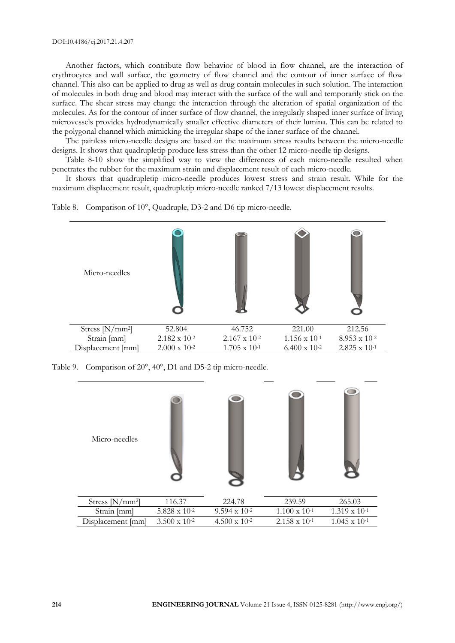Another factors, which contribute flow behavior of blood in flow channel, are the interaction of erythrocytes and wall surface, the geometry of flow channel and the contour of inner surface of flow channel. This also can be applied to drug as well as drug contain molecules in such solution. The interaction of molecules in both drug and blood may interact with the surface of the wall and temporarily stick on the surface. The shear stress may change the interaction through the alteration of spatial organization of the molecules. As for the contour of inner surface of flow channel, the irregularly shaped inner surface of living microvessels provides hydrodynamically smaller effective diameters of their lumina. This can be related to the polygonal channel which mimicking the irregular shape of the inner surface of the channel.

The painless micro-needle designs are based on the maximum stress results between the micro-needle designs. It shows that quadrupletip produce less stress than the other 12 micro-needle tip designs.

Table 8-10 show the simplified way to view the differences of each micro-needle resulted when penetrates the rubber for the maximum strain and displacement result of each micro-needle.

It shows that quadrupletip micro-needle produces lowest stress and strain result. While for the maximum displacement result, quadrupletip micro-needle ranked 7/13 lowest displacement results.





Table 9. Comparison of 20°, 40°, D1 and D5-2 tip micro-needle.



| Stress $[N/mm^2]$ | 116.37                 | 224.78                 | 239.59                 | 265.03                 |
|-------------------|------------------------|------------------------|------------------------|------------------------|
| Strain [mm]       | $5.828 \times 10^{-2}$ | $9.594 \times 10^{-2}$ | $1.100 \times 10^{-1}$ | $1.319 \times 10^{-1}$ |
| Displacement [mm] | $3.500 \times 10^{-2}$ | $4.500 \times 10^{-2}$ | $2.158 \times 10^{-1}$ | $1.045 \times 10^{-1}$ |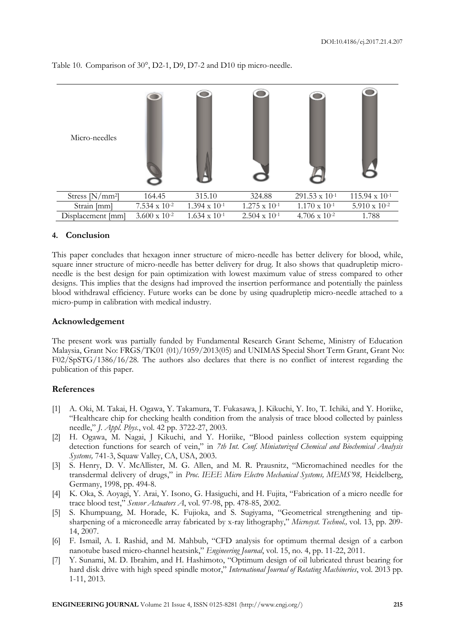| Micro-needles     |                        |                        |                        |                         |                         |
|-------------------|------------------------|------------------------|------------------------|-------------------------|-------------------------|
| Stress $[N/mm^2]$ | 164.45                 | 315.10                 | 324.88                 | $291.53 \times 10^{-1}$ | $115.94 \times 10^{-1}$ |
| Strain [mm]       | $7.534 \times 10^{-2}$ | $1.394 \times 10^{-1}$ | $1.275 \times 10^{-1}$ | $1.170 \times 10^{-1}$  | $5.910 \times 10^{-2}$  |
| Displacement [mm] | $3.600 \times 10^{-2}$ | $1.634 \times 10^{-1}$ | $2.504 \times 10^{-1}$ | $4.706 \times 10^{-2}$  | 1.788                   |

Table 10. Comparison of 30°, D2-1, D9, D7-2 and D10 tip micro-needle.

## **4. Conclusion**

This paper concludes that hexagon inner structure of micro-needle has better delivery for blood, while, square inner structure of micro-needle has better delivery for drug. It also shows that quadrupletip microneedle is the best design for pain optimization with lowest maximum value of stress compared to other designs. This implies that the designs had improved the insertion performance and potentially the painless blood withdrawal efficiency. Future works can be done by using quadrupletip micro-needle attached to a micro-pump in calibration with medical industry.

## **Acknowledgement**

The present work was partially funded by Fundamental Research Grant Scheme, Ministry of Education Malaysia, Grant No: FRGS/TK01 (01)/1059/2013(05) and UNIMAS Special Short Term Grant, Grant No: F02/SpSTG/1386/16/28. The authors also declares that there is no conflict of interest regarding the publication of this paper.

## **References**

- [1] A. Oki, M. Takai, H. Ogawa, Y. Takamura, T. Fukasawa, J. Kikuchi, Y. Ito, T. Ichiki, and Y. Horiike, "Healthcare chip for checking health condition from the analysis of trace blood collected by painless needle," *J. Appl. Phys.*, vol. 42 pp. 3722-27, 2003.
- [2] H. Ogawa, M. Nagai, J Kikuchi, and Y. Horiike, "Blood painless collection system equipping detection functions for search of vein," in *7th Int. Conf. Miniaturized Chemical and Biochemical Analysis Systems,* 741-3, Squaw Valley, CA, USA, 2003.
- [3] S. Henry, D. V. McAllister, M. G. Allen, and M. R. Prausnitz, "Micromachined needles for the transdermal delivery of drugs," in *Proc. IEEE Micro Electro Mechanical Systems, MEMS'98,* Heidelberg, Germany, 1998, pp. 494-8.
- [4] K. Oka, S. Aoyagi, Y. Arai, Y. Isono, G. Hasiguchi, and H. Fujita, "Fabrication of a micro needle for trace blood test," *Sensor Actuators A*, vol. 97-98, pp. 478-85, 2002.
- [5] S. Khumpuang, M. Horade, K. Fujioka, and S. Sugiyama, "Geometrical strengthening and tipsharpening of a microneedle array fabricated by x-ray lithography," *Microsyst. Technol.,* vol. 13, pp. 209- 14, 2007.
- [6] F. Ismail, A. I. Rashid, and M. Mahbub, "CFD analysis for optimum thermal design of a carbon nanotube based micro-channel heatsink," *Engineering Journal*, vol. 15, no. 4, pp. 11-22, 2011.
- [7] Y. Sunami, M. D. Ibrahim, and H. Hashimoto, "Optimum design of oil lubricated thrust bearing for hard disk drive with high speed spindle motor," *International Journal of Rotating Machineries*, vol. 2013 pp. 1-11, 2013.